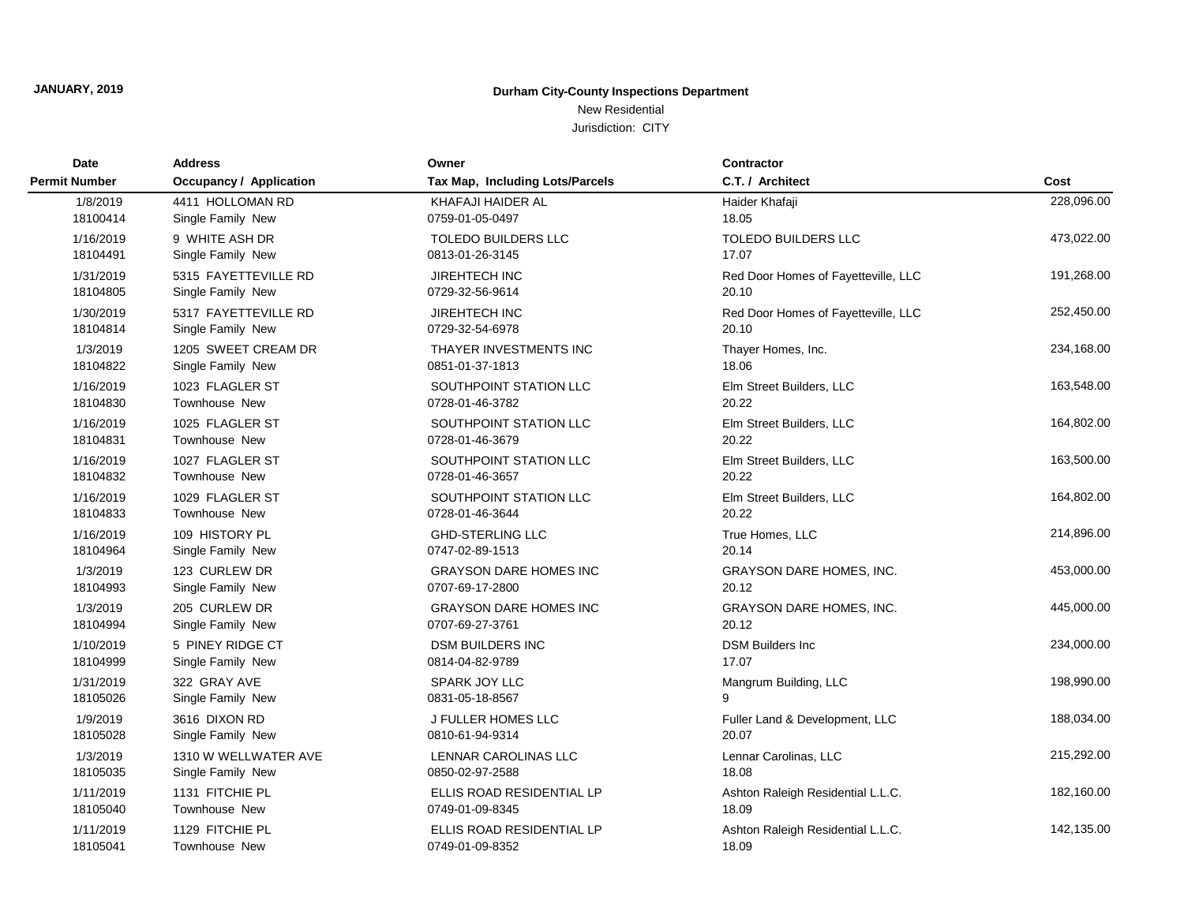## New Residential

Jurisdiction: CITY

| <b>Date</b>          | <b>Address</b>                 | Owner                           | <b>Contractor</b>                   |            |
|----------------------|--------------------------------|---------------------------------|-------------------------------------|------------|
| <b>Permit Number</b> | <b>Occupancy / Application</b> | Tax Map, Including Lots/Parcels | C.T. / Architect                    | Cost       |
| 1/8/2019             | 4411 HOLLOMAN RD               | KHAFAJI HAIDER AL               | Haider Khafaji                      | 228,096.00 |
| 18100414             | Single Family New              | 0759-01-05-0497                 | 18.05                               |            |
| 1/16/2019            | 9 WHITE ASH DR                 | <b>TOLEDO BUILDERS LLC</b>      | <b>TOLEDO BUILDERS LLC</b>          | 473,022.00 |
| 18104491             | Single Family New              | 0813-01-26-3145                 | 17.07                               |            |
| 1/31/2019            | 5315 FAYETTEVILLE RD           | <b>JIREHTECH INC</b>            | Red Door Homes of Fayetteville, LLC | 191,268.00 |
| 18104805             | Single Family New              | 0729-32-56-9614                 | 20.10                               |            |
| 1/30/2019            | 5317 FAYETTEVILLE RD           | JIREHTECH INC                   | Red Door Homes of Fayetteville, LLC | 252,450.00 |
| 18104814             | Single Family New              | 0729-32-54-6978                 | 20.10                               |            |
| 1/3/2019             | 1205 SWEET CREAM DR            | THAYER INVESTMENTS INC          | Thayer Homes, Inc.                  | 234,168.00 |
| 18104822             | Single Family New              | 0851-01-37-1813                 | 18.06                               |            |
| 1/16/2019            | 1023 FLAGLER ST                | SOUTHPOINT STATION LLC          | Elm Street Builders, LLC            | 163,548.00 |
| 18104830             | <b>Townhouse New</b>           | 0728-01-46-3782                 | 20.22                               |            |
| 1/16/2019            | 1025 FLAGLER ST                | SOUTHPOINT STATION LLC          | Elm Street Builders, LLC            | 164,802.00 |
| 18104831             | Townhouse New                  | 0728-01-46-3679                 | 20.22                               |            |
| 1/16/2019            | 1027 FLAGLER ST                | SOUTHPOINT STATION LLC          | Elm Street Builders, LLC            | 163,500.00 |
| 18104832             | <b>Townhouse New</b>           | 0728-01-46-3657                 | 20.22                               |            |
| 1/16/2019            | 1029 FLAGLER ST                | SOUTHPOINT STATION LLC          | Elm Street Builders, LLC            | 164,802.00 |
| 18104833             | <b>Townhouse New</b>           | 0728-01-46-3644                 | 20.22                               |            |
| 1/16/2019            | 109 HISTORY PL                 | <b>GHD-STERLING LLC</b>         | True Homes, LLC                     | 214,896.00 |
| 18104964             | Single Family New              | 0747-02-89-1513                 | 20.14                               |            |
| 1/3/2019             | 123 CURLEW DR                  | <b>GRAYSON DARE HOMES INC</b>   | <b>GRAYSON DARE HOMES, INC.</b>     | 453,000.00 |
| 18104993             | Single Family New              | 0707-69-17-2800                 | 20.12                               |            |
| 1/3/2019             | 205 CURLEW DR                  | <b>GRAYSON DARE HOMES INC</b>   | <b>GRAYSON DARE HOMES, INC.</b>     | 445,000.00 |
| 18104994             | Single Family New              | 0707-69-27-3761                 | 20.12                               |            |
| 1/10/2019            | 5 PINEY RIDGE CT               | <b>DSM BUILDERS INC</b>         | <b>DSM Builders Inc</b>             | 234,000.00 |
| 18104999             | Single Family New              | 0814-04-82-9789                 | 17.07                               |            |
| 1/31/2019            | 322 GRAY AVE                   | SPARK JOY LLC                   | Mangrum Building, LLC               | 198,990.00 |
| 18105026             | Single Family New              | 0831-05-18-8567                 | 9                                   |            |
| 1/9/2019             | 3616 DIXON RD                  | <b>J FULLER HOMES LLC</b>       | Fuller Land & Development, LLC      | 188,034.00 |
| 18105028             | Single Family New              | 0810-61-94-9314                 | 20.07                               |            |
| 1/3/2019             | 1310 W WELLWATER AVE           | LENNAR CAROLINAS LLC            | Lennar Carolinas, LLC               | 215,292.00 |
| 18105035             | Single Family New              | 0850-02-97-2588                 | 18.08                               |            |
| 1/11/2019            | 1131 FITCHIE PL                | ELLIS ROAD RESIDENTIAL LP       | Ashton Raleigh Residential L.L.C.   | 182,160.00 |
| 18105040             | <b>Townhouse New</b>           | 0749-01-09-8345                 | 18.09                               |            |
| 1/11/2019            | 1129 FITCHIE PL                | ELLIS ROAD RESIDENTIAL LP       | Ashton Raleigh Residential L.L.C.   | 142,135.00 |
| 18105041             | <b>Townhouse New</b>           | 0749-01-09-8352                 | 18.09                               |            |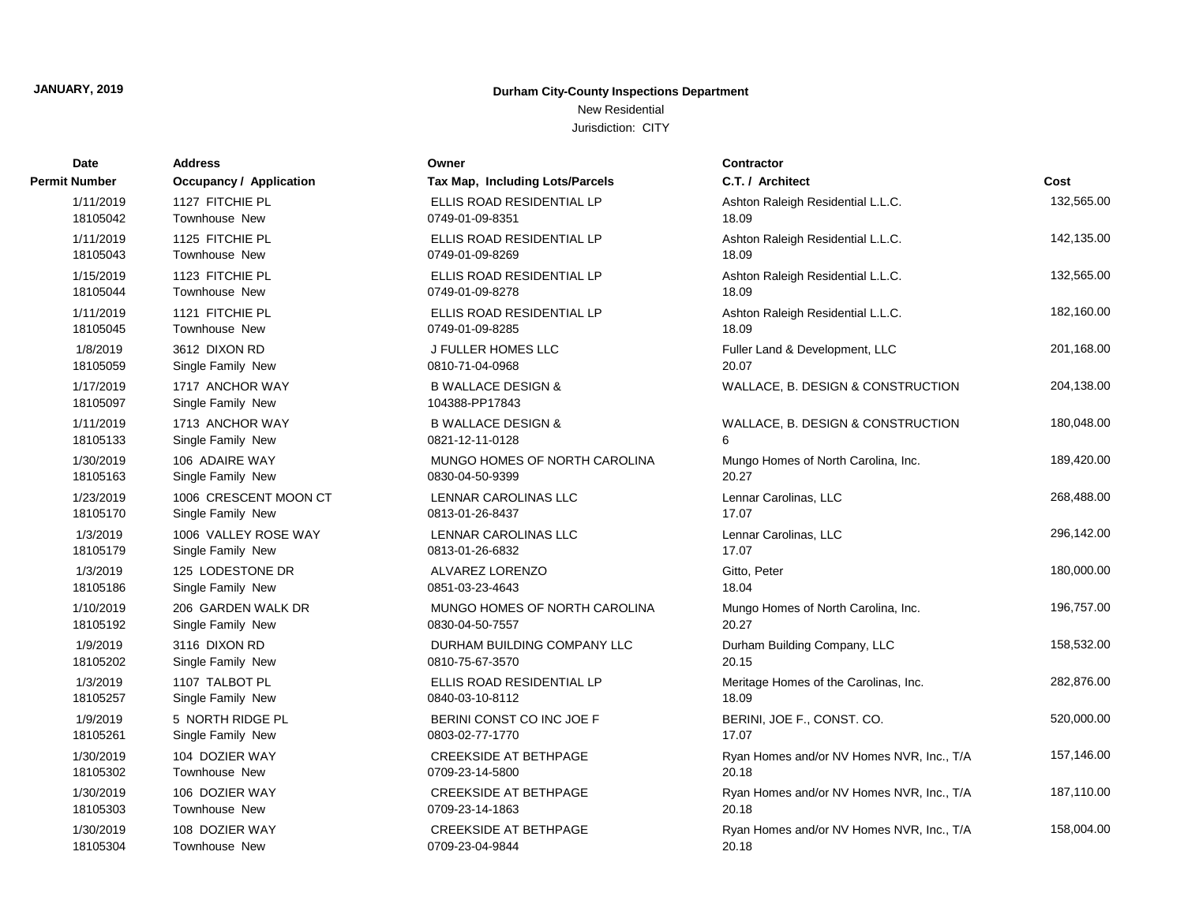New Residential Jurisdiction: CITY

| <b>Date</b>           | <b>Address</b>                       | Owner                                           | Contractor                                |            |
|-----------------------|--------------------------------------|-------------------------------------------------|-------------------------------------------|------------|
| Permit Number         | <b>Occupancy / Application</b>       | Tax Map, Including Lots/Parcels                 | C.T. / Architect                          | Cost       |
| 1/11/2019             | 1127 FITCHIE PL                      | ELLIS ROAD RESIDENTIAL LP                       | Ashton Raleigh Residential L.L.C.         | 132,565.00 |
| 18105042              | <b>Townhouse New</b>                 | 0749-01-09-8351                                 | 18.09                                     |            |
| 1/11/2019             | 1125 FITCHIE PL                      | ELLIS ROAD RESIDENTIAL LP                       | Ashton Raleigh Residential L.L.C.         | 142,135.00 |
| 18105043              | <b>Townhouse New</b>                 | 0749-01-09-8269                                 | 18.09                                     |            |
| 1/15/2019             | 1123 FITCHIE PL                      | ELLIS ROAD RESIDENTIAL LP                       | Ashton Raleigh Residential L.L.C.         | 132,565.00 |
| 18105044              | Townhouse New                        | 0749-01-09-8278                                 | 18.09                                     |            |
| 1/11/2019             | 1121 FITCHIE PL                      | ELLIS ROAD RESIDENTIAL LP                       | Ashton Raleigh Residential L.L.C.         | 182,160.00 |
| 18105045              | <b>Townhouse New</b>                 | 0749-01-09-8285                                 | 18.09                                     |            |
| 1/8/2019              | 3612 DIXON RD                        | J FULLER HOMES LLC                              | Fuller Land & Development, LLC            | 201,168.00 |
| 18105059              | Single Family New                    | 0810-71-04-0968                                 | 20.07                                     |            |
| 1/17/2019<br>18105097 | 1717 ANCHOR WAY<br>Single Family New | <b>B WALLACE DESIGN &amp;</b><br>104388-PP17843 | WALLACE, B. DESIGN & CONSTRUCTION         | 204,138.00 |
| 1/11/2019             | 1713 ANCHOR WAY                      | <b>B WALLACE DESIGN &amp;</b>                   | WALLACE, B. DESIGN & CONSTRUCTION         | 180,048.00 |
| 18105133              | Single Family New                    | 0821-12-11-0128                                 | 6                                         |            |
| 1/30/2019             | 106 ADAIRE WAY                       | MUNGO HOMES OF NORTH CAROLINA                   | Mungo Homes of North Carolina, Inc.       | 189,420.00 |
| 18105163              | Single Family New                    | 0830-04-50-9399                                 | 20.27                                     |            |
| 1/23/2019             | 1006 CRESCENT MOON CT                | LENNAR CAROLINAS LLC                            | Lennar Carolinas, LLC                     | 268,488.00 |
| 18105170              | Single Family New                    | 0813-01-26-8437                                 | 17.07                                     |            |
| 1/3/2019              | 1006 VALLEY ROSE WAY                 | LENNAR CAROLINAS LLC                            | Lennar Carolinas, LLC                     | 296,142.00 |
| 18105179              | Single Family New                    | 0813-01-26-6832                                 | 17.07                                     |            |
| 1/3/2019              | 125 LODESTONE DR                     | ALVAREZ LORENZO                                 | Gitto, Peter                              | 180,000.00 |
| 18105186              | Single Family New                    | 0851-03-23-4643                                 | 18.04                                     |            |
| 1/10/2019             | 206 GARDEN WALK DR                   | MUNGO HOMES OF NORTH CAROLINA                   | Mungo Homes of North Carolina, Inc.       | 196,757.00 |
| 18105192              | Single Family New                    | 0830-04-50-7557                                 | 20.27                                     |            |
| 1/9/2019              | 3116 DIXON RD                        | DURHAM BUILDING COMPANY LLC                     | Durham Building Company, LLC              | 158,532.00 |
| 18105202              | Single Family New                    | 0810-75-67-3570                                 | 20.15                                     |            |
| 1/3/2019              | 1107 TALBOT PL                       | ELLIS ROAD RESIDENTIAL LP                       | Meritage Homes of the Carolinas, Inc.     | 282,876.00 |
| 18105257              | Single Family New                    | 0840-03-10-8112                                 | 18.09                                     |            |
| 1/9/2019              | 5 NORTH RIDGE PL                     | BERINI CONST CO INC JOE F                       | BERINI, JOE F., CONST. CO.                | 520,000.00 |
| 18105261              | Single Family New                    | 0803-02-77-1770                                 | 17.07                                     |            |
| 1/30/2019             | 104 DOZIER WAY                       | <b>CREEKSIDE AT BETHPAGE</b>                    | Ryan Homes and/or NV Homes NVR, Inc., T/A | 157,146.00 |
| 18105302              | Townhouse New                        | 0709-23-14-5800                                 | 20.18                                     |            |
| 1/30/2019             | 106 DOZIER WAY                       | <b>CREEKSIDE AT BETHPAGE</b>                    | Ryan Homes and/or NV Homes NVR, Inc., T/A | 187,110.00 |
| 18105303              | Townhouse New                        | 0709-23-14-1863                                 | 20.18                                     |            |
| 1/30/2019             | 108 DOZIER WAY                       | <b>CREEKSIDE AT BETHPAGE</b>                    | Ryan Homes and/or NV Homes NVR, Inc., T/A | 158,004.00 |
| 18105304              | Townhouse New                        | 0709-23-04-9844                                 | 20.18                                     |            |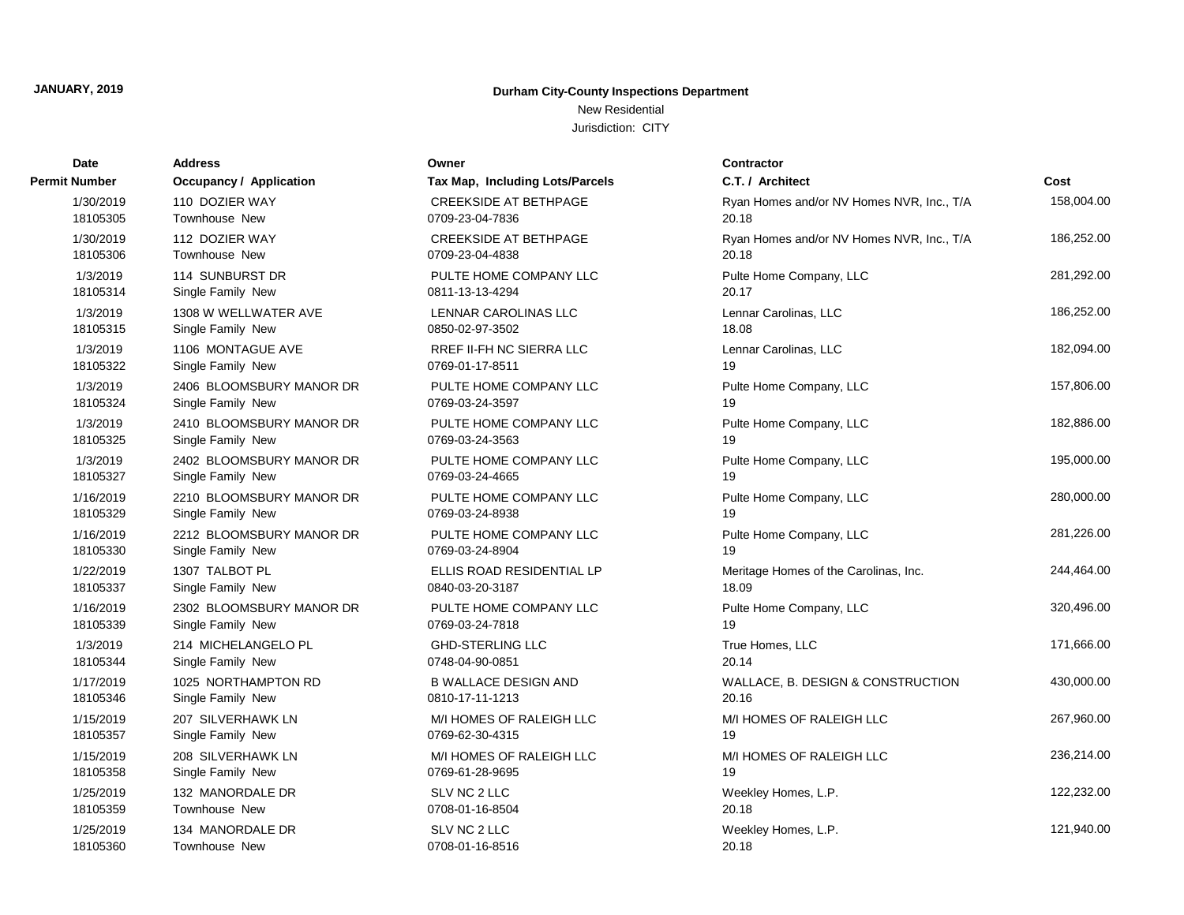New Residential Jurisdiction: CITY

| Date                 | <b>Address</b>                 | Owner                           | <b>Contractor</b>                         |            |
|----------------------|--------------------------------|---------------------------------|-------------------------------------------|------------|
| <b>Permit Number</b> | <b>Occupancy / Application</b> | Tax Map, Including Lots/Parcels | C.T. / Architect                          | Cost       |
| 1/30/2019            | 110 DOZIER WAY                 | <b>CREEKSIDE AT BETHPAGE</b>    | Ryan Homes and/or NV Homes NVR, Inc., T/A | 158.004.00 |
| 18105305             | Townhouse New                  | 0709-23-04-7836                 | 20.18                                     |            |
| 1/30/2019            | 112 DOZIER WAY                 | <b>CREEKSIDE AT BETHPAGE</b>    | Ryan Homes and/or NV Homes NVR, Inc., T/A | 186,252.00 |
| 18105306             | Townhouse New                  | 0709-23-04-4838                 | 20.18                                     |            |
| 1/3/2019             | 114 SUNBURST DR                | PULTE HOME COMPANY LLC          | Pulte Home Company, LLC                   | 281,292.00 |
| 18105314             | Single Family New              | 0811-13-13-4294                 | 20.17                                     |            |
| 1/3/2019             | 1308 W WELLWATER AVE           | <b>LENNAR CAROLINAS LLC</b>     | Lennar Carolinas, LLC                     | 186,252.00 |
| 18105315             | Single Family New              | 0850-02-97-3502                 | 18.08                                     |            |
| 1/3/2019             | 1106 MONTAGUE AVE              | <b>RREF II-FH NC SIERRA LLC</b> | Lennar Carolinas, LLC                     | 182,094.00 |
| 18105322             | Single Family New              | 0769-01-17-8511                 | 19                                        |            |
| 1/3/2019             | 2406 BLOOMSBURY MANOR DR       | PULTE HOME COMPANY LLC          | Pulte Home Company, LLC                   | 157,806.00 |
| 18105324             | Single Family New              | 0769-03-24-3597                 | 19                                        |            |
| 1/3/2019             | 2410 BLOOMSBURY MANOR DR       | PULTE HOME COMPANY LLC          | Pulte Home Company, LLC                   | 182,886.00 |
| 18105325             | Single Family New              | 0769-03-24-3563                 | 19                                        |            |
| 1/3/2019             | 2402 BLOOMSBURY MANOR DR       | PULTE HOME COMPANY LLC          | Pulte Home Company, LLC                   | 195,000.00 |
| 18105327             | Single Family New              | 0769-03-24-4665                 | 19                                        |            |
| 1/16/2019            | 2210 BLOOMSBURY MANOR DR       | PULTE HOME COMPANY LLC          | Pulte Home Company, LLC                   | 280,000.00 |
| 18105329             | Single Family New              | 0769-03-24-8938                 | 19                                        |            |
| 1/16/2019            | 2212 BLOOMSBURY MANOR DR       | PULTE HOME COMPANY LLC          | Pulte Home Company, LLC                   | 281,226.00 |
| 18105330             | Single Family New              | 0769-03-24-8904                 | 19                                        |            |
| 1/22/2019            | 1307 TALBOT PL                 | ELLIS ROAD RESIDENTIAL LP       | Meritage Homes of the Carolinas, Inc.     | 244,464.00 |
| 18105337             | Single Family New              | 0840-03-20-3187                 | 18.09                                     |            |
| 1/16/2019            | 2302 BLOOMSBURY MANOR DR       | PULTE HOME COMPANY LLC          | Pulte Home Company, LLC                   | 320,496.00 |
| 18105339             | Single Family New              | 0769-03-24-7818                 | 19                                        |            |
| 1/3/2019             | 214 MICHELANGELO PL            | <b>GHD-STERLING LLC</b>         | True Homes, LLC                           | 171,666.00 |
| 18105344             | Single Family New              | 0748-04-90-0851                 | 20.14                                     |            |
| 1/17/2019            | 1025 NORTHAMPTON RD            | <b>B WALLACE DESIGN AND</b>     | WALLACE, B. DESIGN & CONSTRUCTION         | 430,000.00 |
| 18105346             | Single Family New              | 0810-17-11-1213                 | 20.16                                     |            |
| 1/15/2019            | 207 SILVERHAWK LN              | M/I HOMES OF RALEIGH LLC        | M/I HOMES OF RALEIGH LLC                  | 267,960.00 |
| 18105357             | Single Family New              | 0769-62-30-4315                 | 19                                        |            |
| 1/15/2019            | 208 SILVERHAWK LN              | M/I HOMES OF RALEIGH LLC        | M/I HOMES OF RALEIGH LLC                  | 236,214.00 |
| 18105358             | Single Family New              | 0769-61-28-9695                 | 19                                        |            |
| 1/25/2019            | 132 MANORDALE DR               | SLV NC 2 LLC                    | Weekley Homes, L.P.                       | 122,232.00 |
| 18105359             | Townhouse New                  | 0708-01-16-8504                 | 20.18                                     |            |
| 1/25/2019            | 134 MANORDALE DR               | SLV NC 2 LLC                    | Weekley Homes, L.P.                       | 121,940.00 |
| 18105360             | Townhouse New                  | 0708-01-16-8516                 | 20.18                                     |            |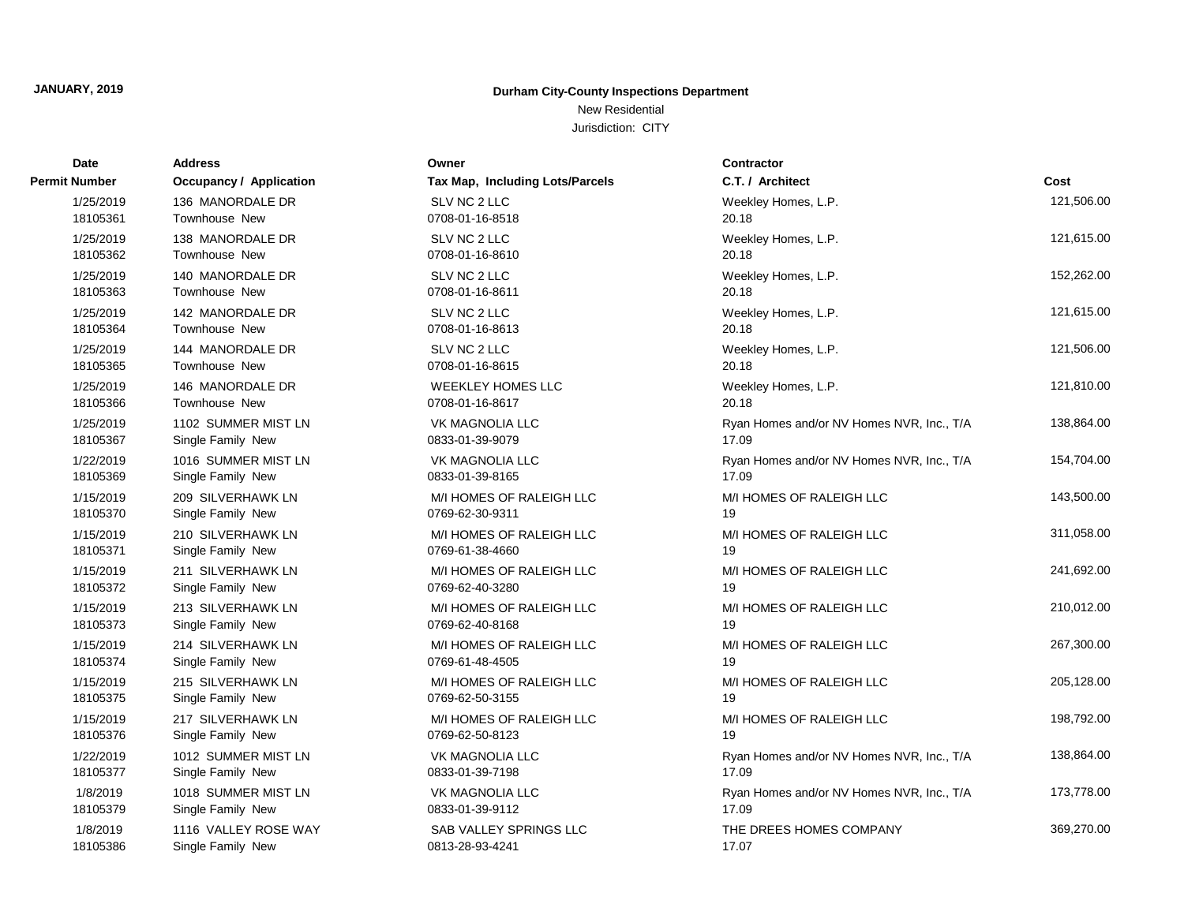New Residential Jurisdiction: CITY

| Date          | <b>Address</b>                 | Owner                           | <b>Contractor</b>                         |            |
|---------------|--------------------------------|---------------------------------|-------------------------------------------|------------|
| Permit Number | <b>Occupancy / Application</b> | Tax Map, Including Lots/Parcels | C.T. / Architect                          | Cost       |
| 1/25/2019     | 136 MANORDALE DR               | SLV NC 2 LLC                    | Weekley Homes, L.P.                       | 121,506.00 |
| 18105361      | <b>Townhouse New</b>           | 0708-01-16-8518                 | 20.18                                     |            |
| 1/25/2019     | 138 MANORDALE DR               | SLV NC 2 LLC                    | Weekley Homes, L.P.                       | 121,615.00 |
| 18105362      | <b>Townhouse New</b>           | 0708-01-16-8610                 | 20.18                                     |            |
| 1/25/2019     | 140 MANORDALE DR               | SLV NC 2 LLC                    | Weekley Homes, L.P.                       | 152,262.00 |
| 18105363      | <b>Townhouse New</b>           | 0708-01-16-8611                 | 20.18                                     |            |
| 1/25/2019     | 142 MANORDALE DR               | SLV NC 2 LLC                    | Weekley Homes, L.P.                       | 121,615.00 |
| 18105364      | Townhouse New                  | 0708-01-16-8613                 | 20.18                                     |            |
| 1/25/2019     | 144 MANORDALE DR               | SLV NC 2 LLC                    | Weekley Homes, L.P.                       | 121,506.00 |
| 18105365      | <b>Townhouse New</b>           | 0708-01-16-8615                 | 20.18                                     |            |
| 1/25/2019     | 146 MANORDALE DR               | <b>WEEKLEY HOMES LLC</b>        | Weekley Homes, L.P.                       | 121,810.00 |
| 18105366      | <b>Townhouse New</b>           | 0708-01-16-8617                 | 20.18                                     |            |
| 1/25/2019     | 1102 SUMMER MIST LN            | VK MAGNOLIA LLC                 | Ryan Homes and/or NV Homes NVR, Inc., T/A | 138,864.00 |
| 18105367      | Single Family New              | 0833-01-39-9079                 | 17.09                                     |            |
| 1/22/2019     | 1016 SUMMER MIST LN            | <b>VK MAGNOLIA LLC</b>          | Ryan Homes and/or NV Homes NVR, Inc., T/A | 154,704.00 |
| 18105369      | Single Family New              | 0833-01-39-8165                 | 17.09                                     |            |
| 1/15/2019     | 209 SILVERHAWK LN              | M/I HOMES OF RALEIGH LLC        | M/I HOMES OF RALEIGH LLC                  | 143,500.00 |
| 18105370      | Single Family New              | 0769-62-30-9311                 | 19                                        |            |
| 1/15/2019     | 210 SILVERHAWK LN              | M/I HOMES OF RALEIGH LLC        | M/I HOMES OF RALEIGH LLC                  | 311,058.00 |
| 18105371      | Single Family New              | 0769-61-38-4660                 | 19                                        |            |
| 1/15/2019     | 211 SILVERHAWK LN              | M/I HOMES OF RALEIGH LLC        | M/I HOMES OF RALEIGH LLC                  | 241,692.00 |
| 18105372      | Single Family New              | 0769-62-40-3280                 | 19                                        |            |
| 1/15/2019     | 213 SILVERHAWK LN              | M/I HOMES OF RALEIGH LLC        | M/I HOMES OF RALEIGH LLC                  | 210,012.00 |
| 18105373      | Single Family New              | 0769-62-40-8168                 | 19                                        |            |
| 1/15/2019     | 214 SILVERHAWK LN              | M/I HOMES OF RALEIGH LLC        | M/I HOMES OF RALEIGH LLC                  | 267,300.00 |
| 18105374      | Single Family New              | 0769-61-48-4505                 | 19                                        |            |
| 1/15/2019     | 215 SILVERHAWK LN              | M/I HOMES OF RALEIGH LLC        | M/I HOMES OF RALEIGH LLC                  | 205,128.00 |
| 18105375      | Single Family New              | 0769-62-50-3155                 | 19                                        |            |
| 1/15/2019     | 217 SILVERHAWK LN              | M/I HOMES OF RALEIGH LLC        | M/I HOMES OF RALEIGH LLC                  | 198,792.00 |
| 18105376      | Single Family New              | 0769-62-50-8123                 | 19                                        |            |
| 1/22/2019     | 1012 SUMMER MIST LN            | <b>VK MAGNOLIA LLC</b>          | Ryan Homes and/or NV Homes NVR, Inc., T/A | 138,864.00 |
| 18105377      | Single Family New              | 0833-01-39-7198                 | 17.09                                     |            |
| 1/8/2019      | 1018 SUMMER MIST LN            | <b>VK MAGNOLIA LLC</b>          | Ryan Homes and/or NV Homes NVR, Inc., T/A | 173,778.00 |
| 18105379      | Single Family New              | 0833-01-39-9112                 | 17.09                                     |            |
| 1/8/2019      | 1116 VALLEY ROSE WAY           | <b>SAB VALLEY SPRINGS LLC</b>   | THE DREES HOMES COMPANY                   | 369,270.00 |
| 18105386      | Single Family New              | 0813-28-93-4241                 | 17.07                                     |            |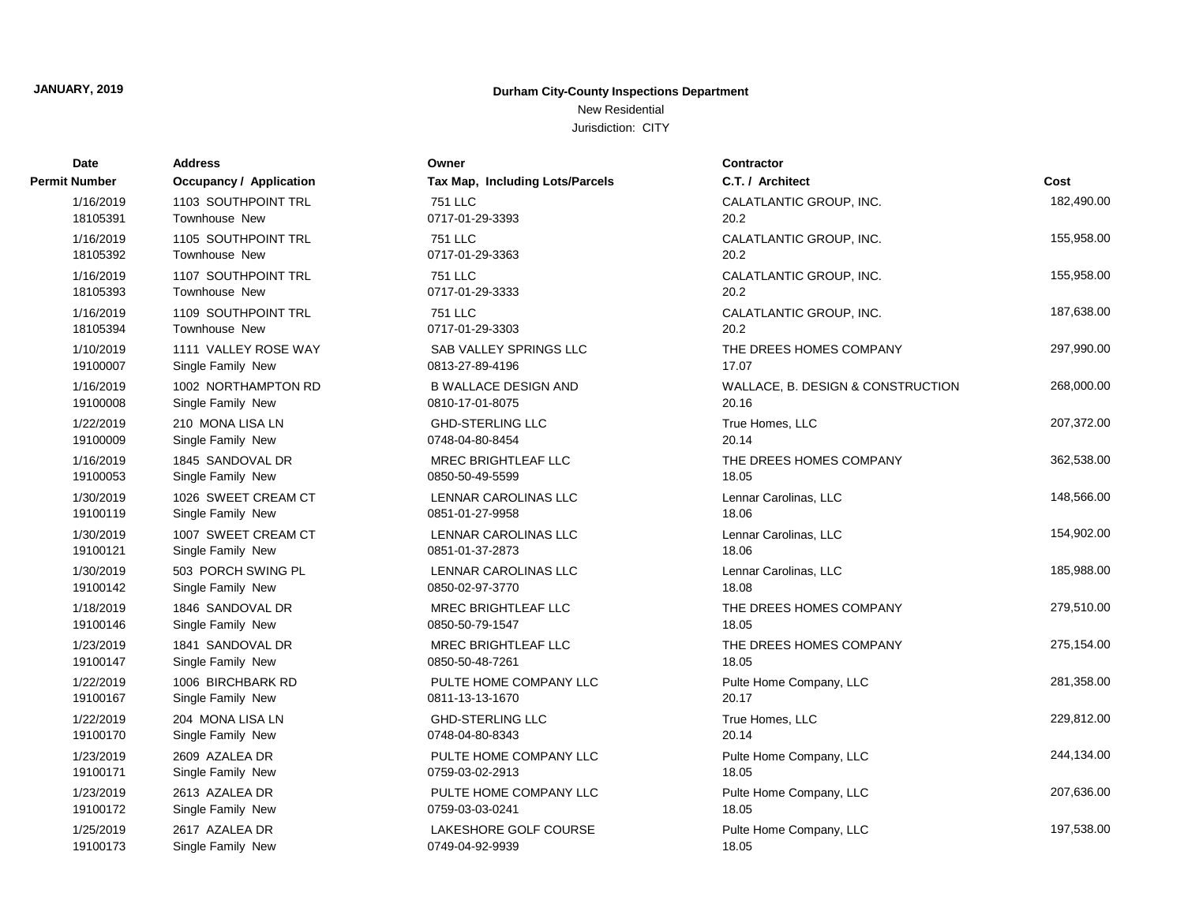New Residential

Jurisdiction: CITY

| Date          | <b>Address</b>                 | Owner                           | <b>Contractor</b>                 |            |
|---------------|--------------------------------|---------------------------------|-----------------------------------|------------|
| Permit Number | <b>Occupancy / Application</b> | Tax Map, Including Lots/Parcels | C.T. / Architect                  | Cost       |
| 1/16/2019     | 1103 SOUTHPOINT TRL            | <b>751 LLC</b>                  | CALATLANTIC GROUP, INC.           | 182,490.00 |
| 18105391      | Townhouse New                  | 0717-01-29-3393                 | 20.2                              |            |
| 1/16/2019     | 1105 SOUTHPOINT TRL            | <b>751 LLC</b>                  | CALATLANTIC GROUP, INC.           | 155,958.00 |
| 18105392      | Townhouse New                  | 0717-01-29-3363                 | 20.2                              |            |
| 1/16/2019     | 1107 SOUTHPOINT TRL            | 751 LLC                         | CALATLANTIC GROUP, INC.           | 155,958.00 |
| 18105393      | Townhouse New                  | 0717-01-29-3333                 | 20.2                              |            |
| 1/16/2019     | 1109 SOUTHPOINT TRL            | <b>751 LLC</b>                  | CALATLANTIC GROUP, INC.           | 187,638.00 |
| 18105394      | Townhouse New                  | 0717-01-29-3303                 | 20.2                              |            |
| 1/10/2019     | 1111 VALLEY ROSE WAY           | <b>SAB VALLEY SPRINGS LLC</b>   | THE DREES HOMES COMPANY           | 297,990.00 |
| 19100007      | Single Family New              | 0813-27-89-4196                 | 17.07                             |            |
| 1/16/2019     | 1002 NORTHAMPTON RD            | <b>B WALLACE DESIGN AND</b>     | WALLACE, B. DESIGN & CONSTRUCTION | 268,000.00 |
| 19100008      | Single Family New              | 0810-17-01-8075                 | 20.16                             |            |
| 1/22/2019     | 210 MONA LISA LN               | <b>GHD-STERLING LLC</b>         | True Homes, LLC                   | 207,372.00 |
| 19100009      | Single Family New              | 0748-04-80-8454                 | 20.14                             |            |
| 1/16/2019     | 1845 SANDOVAL DR               | MREC BRIGHTLEAF LLC             | THE DREES HOMES COMPANY           | 362,538.00 |
| 19100053      | Single Family New              | 0850-50-49-5599                 | 18.05                             |            |
| 1/30/2019     | 1026 SWEET CREAM CT            | LENNAR CAROLINAS LLC            | Lennar Carolinas, LLC             | 148,566.00 |
| 19100119      | Single Family New              | 0851-01-27-9958                 | 18.06                             |            |
| 1/30/2019     | 1007 SWEET CREAM CT            | LENNAR CAROLINAS LLC            | Lennar Carolinas, LLC             | 154,902.00 |
| 19100121      | Single Family New              | 0851-01-37-2873                 | 18.06                             |            |
| 1/30/2019     | 503 PORCH SWING PL             | LENNAR CAROLINAS LLC            | Lennar Carolinas, LLC             | 185,988.00 |
| 19100142      | Single Family New              | 0850-02-97-3770                 | 18.08                             |            |
| 1/18/2019     | 1846 SANDOVAL DR               | MREC BRIGHTLEAF LLC             | THE DREES HOMES COMPANY           | 279,510.00 |
| 19100146      | Single Family New              | 0850-50-79-1547                 | 18.05                             |            |
| 1/23/2019     | 1841 SANDOVAL DR               | MREC BRIGHTLEAF LLC             | THE DREES HOMES COMPANY           | 275,154.00 |
| 19100147      | Single Family New              | 0850-50-48-7261                 | 18.05                             |            |
| 1/22/2019     | 1006 BIRCHBARK RD              | PULTE HOME COMPANY LLC          | Pulte Home Company, LLC           | 281,358.00 |
| 19100167      | Single Family New              | 0811-13-13-1670                 | 20.17                             |            |
| 1/22/2019     | 204 MONA LISA LN               | <b>GHD-STERLING LLC</b>         | True Homes, LLC                   | 229,812.00 |
| 19100170      | Single Family New              | 0748-04-80-8343                 | 20.14                             |            |
| 1/23/2019     | 2609 AZALEA DR                 | PULTE HOME COMPANY LLC          | Pulte Home Company, LLC           | 244,134.00 |
| 19100171      | Single Family New              | 0759-03-02-2913                 | 18.05                             |            |
| 1/23/2019     | 2613 AZALEA DR                 | PULTE HOME COMPANY LLC          | Pulte Home Company, LLC           | 207,636.00 |
| 19100172      | Single Family New              | 0759-03-03-0241                 | 18.05                             |            |
| 1/25/2019     | 2617 AZALEA DR                 | LAKESHORE GOLF COURSE           | Pulte Home Company, LLC           | 197,538.00 |
| 19100173      | Single Family New              | 0749-04-92-9939                 | 18.05                             |            |